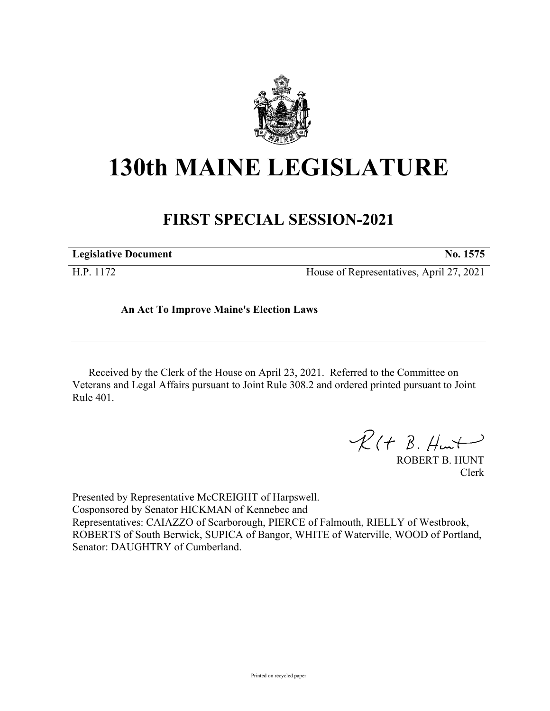

## **130th MAINE LEGISLATURE**

## **FIRST SPECIAL SESSION-2021**

| <b>Legislative Document</b> | No. 1575                                 |
|-----------------------------|------------------------------------------|
| H.P. 1172                   | House of Representatives, April 27, 2021 |

## **An Act To Improve Maine's Election Laws**

Received by the Clerk of the House on April 23, 2021. Referred to the Committee on Veterans and Legal Affairs pursuant to Joint Rule 308.2 and ordered printed pursuant to Joint Rule 401.

 $\mathcal{R}(t \; \mathcal{B}, \#m\mathcal{H})$ 

ROBERT B. HUNT Clerk

Presented by Representative McCREIGHT of Harpswell. Cosponsored by Senator HICKMAN of Kennebec and Representatives: CAIAZZO of Scarborough, PIERCE of Falmouth, RIELLY of Westbrook, ROBERTS of South Berwick, SUPICA of Bangor, WHITE of Waterville, WOOD of Portland, Senator: DAUGHTRY of Cumberland.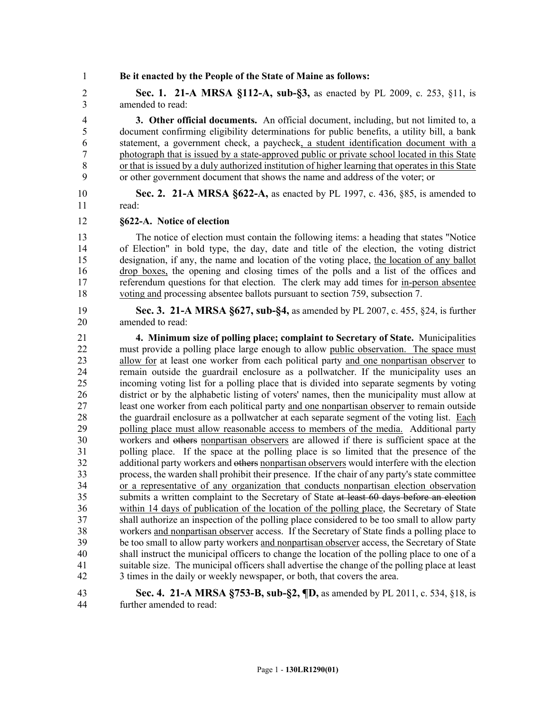1 **Be it enacted by the People of the State of Maine as follows:**

2 **Sec. 1. 21-A MRSA §112-A, sub-§3,** as enacted by PL 2009, c. 253, §11, is 3 amended to read:

4 **3. Other official documents.** An official document, including, but not limited to, a 5 document confirming eligibility determinations for public benefits, a utility bill, a bank 6 statement, a government check, a paycheck, a student identification document with a 7 photograph that is issued by a state-approved public or private school located in this State 8 or that is issued by a duly authorized institution of higher learning that operates in this State 9 or other government document that shows the name and address of the voter; or

10 **Sec. 2. 21-A MRSA §622-A,** as enacted by PL 1997, c. 436, §85, is amended to 11 read:

12 **§622-A. Notice of election**

13 The notice of election must contain the following items: a heading that states "Notice 14 of Election" in bold type, the day, date and title of the election, the voting district 15 designation, if any, the name and location of the voting place, the location of any ballot 16 drop boxes, the opening and closing times of the polls and a list of the offices and 17 referendum questions for that election. The clerk may add times for in-person absentee 18 voting and processing absentee ballots pursuant to section 759, subsection 7.

- 19 **Sec. 3. 21-A MRSA §627, sub-§4,** as amended by PL 2007, c. 455, §24, is further 20 amended to read:
- 21 **4. Minimum size of polling place; complaint to Secretary of State.** Municipalities 22 must provide a polling place large enough to allow public observation. The space must 23 allow for at least one worker from each political party and one nonpartisan observer to 24 remain outside the guardrail enclosure as a pollwatcher. If the municipality uses an 25 incoming voting list for a polling place that is divided into separate segments by voting 26 district or by the alphabetic listing of voters' names, then the municipality must allow at 27 least one worker from each political party and one nonpartisan observer to remain outside 28 the guardrail enclosure as a pollwatcher at each separate segment of the voting list. Each 29 polling place must allow reasonable access to members of the media. Additional party 30 workers and others nonpartisan observers are allowed if there is sufficient space at the 31 polling place. If the space at the polling place is so limited that the presence of the 32 additional party workers and others nonpartisan observers would interfere with the election<br>33 rocess, the warden shall prohibit their presence. If the chair of any party's state committee process, the warden shall prohibit their presence. If the chair of any party's state committee 34 or a representative of any organization that conducts nonpartisan election observation 35 submits a written complaint to the Secretary of State at least 60 days before an election 36 within 14 days of publication of the location of the polling place, the Secretary of State 37 shall authorize an inspection of the polling place considered to be too small to allow party 38 workers and nonpartisan observer access. If the Secretary of State finds a polling place to 39 be too small to allow party workers and nonpartisan observer access, the Secretary of State 40 shall instruct the municipal officers to change the location of the polling place to one of a 41 suitable size. The municipal officers shall advertise the change of the polling place at least 42 3 times in the daily or weekly newspaper, or both, that covers the area.

43 **Sec. 4. 21-A MRSA §753-B, sub-§2, ¶D,** as amended by PL 2011, c. 534, §18, is 44 further amended to read: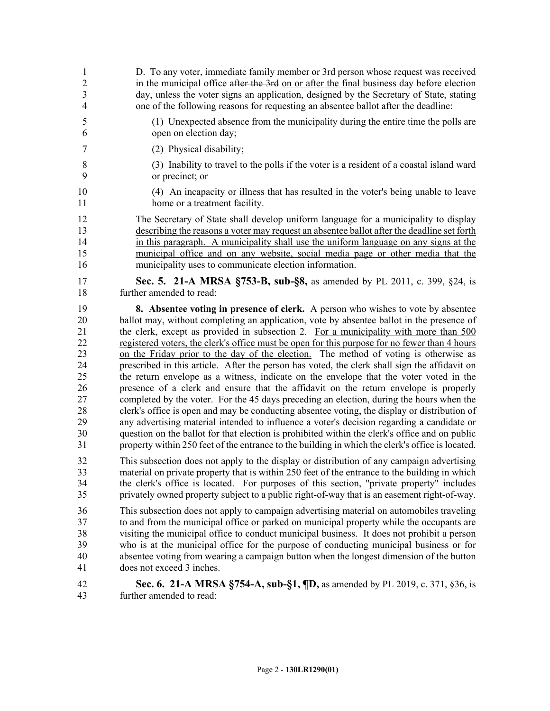| $\mathbf{1}$   | D. To any voter, immediate family member or 3rd person whose request was received                  |
|----------------|----------------------------------------------------------------------------------------------------|
| $\overline{2}$ | in the municipal office after the 3rd on or after the final business day before election           |
| 3              | day, unless the voter signs an application, designed by the Secretary of State, stating            |
| $\overline{4}$ | one of the following reasons for requesting an absentee ballot after the deadline:                 |
| 5              | (1) Unexpected absence from the municipality during the entire time the polls are                  |
| 6              | open on election day;                                                                              |
| 7              | (2) Physical disability;                                                                           |
| 8              | (3) Inability to travel to the polls if the voter is a resident of a coastal island ward           |
| 9              | or precinct; or                                                                                    |
| 10             | (4) An incapacity or illness that has resulted in the voter's being unable to leave                |
| 11             | home or a treatment facility.                                                                      |
| 12             | The Secretary of State shall develop uniform language for a municipality to display                |
| 13             | describing the reasons a voter may request an absentee ballot after the deadline set forth         |
| 14             | in this paragraph. A municipality shall use the uniform language on any signs at the               |
| 15             | municipal office and on any website, social media page or other media that the                     |
| 16             | municipality uses to communicate election information.                                             |
| 17             | Sec. 5. 21-A MRSA §753-B, sub-§8, as amended by PL 2011, c. 399, §24, is                           |
| 18             | further amended to read:                                                                           |
| 19             | 8. Absentee voting in presence of clerk. A person who wishes to vote by absentee                   |
| 20             | ballot may, without completing an application, vote by absentee ballot in the presence of          |
| 21             | the clerk, except as provided in subsection 2. For a municipality with more than 500               |
| 22             | registered voters, the clerk's office must be open for this purpose for no fewer than 4 hours      |
| 23             | on the Friday prior to the day of the election. The method of voting is otherwise as               |
| 24             | prescribed in this article. After the person has voted, the clerk shall sign the affidavit on      |
| 25             | the return envelope as a witness, indicate on the envelope that the voter voted in the             |
| 26             | presence of a clerk and ensure that the affidavit on the return envelope is properly               |
| 27             | completed by the voter. For the 45 days preceding an election, during the hours when the           |
| 28             | clerk's office is open and may be conducting absentee voting, the display or distribution of       |
| 29             | any advertising material intended to influence a voter's decision regarding a candidate or         |
| 30             | question on the ballot for that election is prohibited within the clerk's office and on public     |
| 31             | property within 250 feet of the entrance to the building in which the clerk's office is located.   |
| 32             | This subsection does not apply to the display or distribution of any campaign advertising          |
| 33             | material on private property that is within 250 feet of the entrance to the building in which      |
| 34             | the clerk's office is located. For purposes of this section, "private property" includes           |
| 35             | privately owned property subject to a public right-of-way that is an easement right-of-way.        |
| 36             | This subsection does not apply to campaign advertising material on automobiles traveling           |
| 37             | to and from the municipal office or parked on municipal property while the occupants are           |
| 38             | visiting the municipal office to conduct municipal business. It does not prohibit a person         |
| 39             | who is at the municipal office for the purpose of conducting municipal business or for             |
| 40             | absentee voting from wearing a campaign button when the longest dimension of the button            |
| 41             | does not exceed 3 inches.                                                                          |
| 42             | <b>Sec. 6. 21-A MRSA §754-A, sub-§1, <math>\P</math>D</b> , as amended by PL 2019, c. 371, §36, is |
| 43             | further amended to read:                                                                           |
|                |                                                                                                    |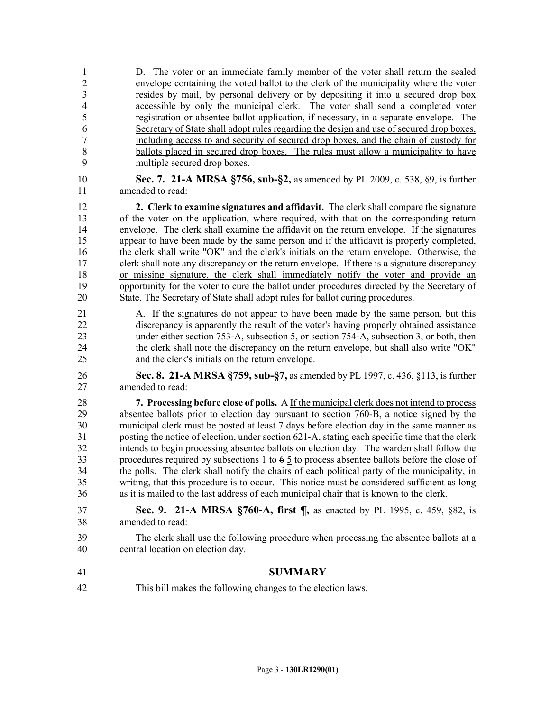1 D. The voter or an immediate family member of the voter shall return the sealed 2 envelope containing the voted ballot to the clerk of the municipality where the voter 3 resides by mail, by personal delivery or by depositing it into a secured drop box 4 accessible by only the municipal clerk. The voter shall send a completed voter 5 registration or absentee ballot application, if necessary, in a separate envelope. The 6 Secretary of State shall adopt rules regarding the design and use of secured drop boxes, 7 including access to and security of secured drop boxes, and the chain of custody for 8 ballots placed in secured drop boxes. The rules must allow a municipality to have 9 multiple secured drop boxes.

10 **Sec. 7. 21-A MRSA §756, sub-§2,** as amended by PL 2009, c. 538, §9, is further 11 amended to read:

12 **2. Clerk to examine signatures and affidavit.** The clerk shall compare the signature 13 of the voter on the application, where required, with that on the corresponding return 14 envelope. The clerk shall examine the affidavit on the return envelope. If the signatures 15 appear to have been made by the same person and if the affidavit is properly completed, 16 the clerk shall write "OK" and the clerk's initials on the return envelope. Otherwise, the 17 clerk shall note any discrepancy on the return envelope. If there is a signature discrepancy 18 or missing signature, the clerk shall immediately notify the voter and provide an 19 opportunity for the voter to cure the ballot under procedures directed by the Secretary of 20 State. The Secretary of State shall adopt rules for ballot curing procedures.

- 21 A. If the signatures do not appear to have been made by the same person, but this 22 discrepancy is apparently the result of the voter's having properly obtained assistance 23 under either section 753–A, subsection 5, or section 754–A, subsection 3, or both, then 24 the clerk shall note the discrepancy on the return envelope, but shall also write "OK" 25 and the clerk's initials on the return envelope.
- 26 **Sec. 8. 21-A MRSA §759, sub-§7,** as amended by PL 1997, c. 436, §113, is further 27 amended to read:

28 **7. Processing before close of polls.** A If the municipal clerk does not intend to process 29 absentee ballots prior to election day pursuant to section 760-B, a notice signed by the 30 municipal clerk must be posted at least 7 days before election day in the same manner as 31 posting the notice of election, under section 621‑A, stating each specific time that the clerk 32 intends to begin processing absentee ballots on election day. The warden shall follow the 33 procedures required by subsections 1 to 6 5 to process absentee ballots before the close of 34 the polls. The clerk shall notify the chairs of each political party of the municipality, in 35 writing, that this procedure is to occur. This notice must be considered sufficient as long 36 as it is mailed to the last address of each municipal chair that is known to the clerk.

## 37 **Sec. 9. 21-A MRSA §760-A, first ¶,** as enacted by PL 1995, c. 459, §82, is 38 amended to read:

39 The clerk shall use the following procedure when processing the absentee ballots at a 40 central location on election day.

- 41 **SUMMARY**
- 42 This bill makes the following changes to the election laws.